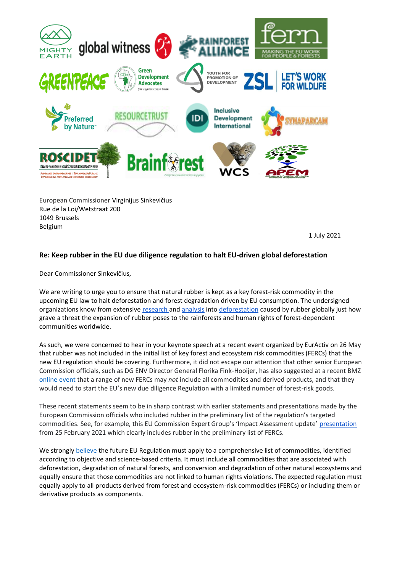

European Commissioner Virginijus Sinkevičius Rue de la Loi/Wetstraat 200 1049 Brussels Belgium

1 July 2021

## **Re: Keep rubber in the EU due diligence regulation to halt EU-driven global deforestation**

Dear Commissioner Sinkevičius,

We are writing to urge you to ensure that natural rubber is kept as a key forest-risk commodity in the upcoming EU law to halt deforestation and forest degradation driven by EU consumption. The undersigned organizations know from extensive [research a](https://www.globalwitness.org/en/campaigns/forests/bending-the-truth/)nd [analysis](https://www.mightyearth.org/michelin-covered-up-industrial-deforestation-by-its-indonesian-partner) into [deforestation](https://storage.googleapis.com/planet4-africa-stateless/2018/10/8f21a9bc-8f21a9bc-greenpeace-africa-sudcam-report-2018-1.pdf) caused by rubber globally just how grave a threat the expansion of rubber poses to the rainforests and human rights of forest-dependent communities worldwide.

As such, we were concerned to hear in your keynote speech at a recent event organized by EurActiv on 26 May that rubber was not included in the initial list of key forest and ecosystem risk commodities (FERCs) that the new EU regulation should be covering. Furthermore, it did not escape our attention that other senior European Commission officials, such as DG ENV Director General Florika Fink-Hooijer, has also suggested at a recent BMZ [online event](https://www.nachhaltige-agrarlieferketten.org/en/news-events/measures-on-deforestation-producing-countries-perspectives/) that a range of new FERCs may *not* include all commodities and derived products, and that they would need to start the EU's new due diligence Regulation with a limited number of forest-risk goods.

These recent statements seem to be in sharp contrast with earlier statements and presentations made by the European Commission officials who included rubber in the preliminary list of the regulation's targeted commodities. See, for example, this EU Commission Expert Group's 'Impact Assessment update' [presentation](https://ec.europa.eu/transparency/expert-groups-register/screen/meetings/consult?lang=en&meetingId=23741&fromExpertGroups=true) from 25 February 2021 which clearly includes rubber in the preliminary list of FERCs.

We strongl[y believe](https://www.fern.org/publications-insight/ngo-recommendations-on-the-future-eu-regulation-to-address-the-forest-ecosystem-and-human-rights-impacts-associated-with-products-placed-on-the-eu-market-2346/) the future EU Regulation must apply to a comprehensive list of commodities, identified according to objective and science-based criteria. It must include all commodities that are associated with deforestation, degradation of natural forests, and conversion and degradation of other natural ecosystems and equally ensure that those commodities are not linked to human rights violations. The expected regulation must equally apply to all products derived from forest and ecosystem-risk commodities (FERCs) or including them or derivative products as components.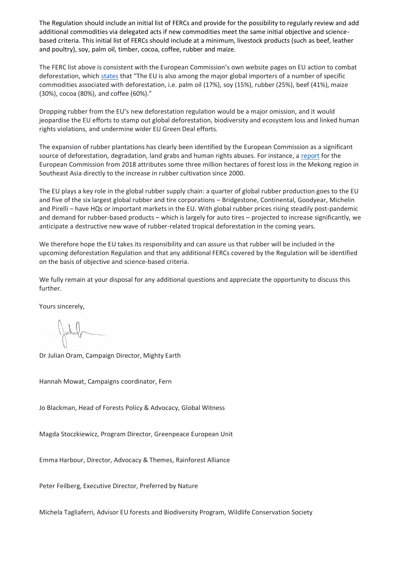The Regulation should include an initial list of FERCs and provide for the possibility to regularly review and add additional commodities via delegated acts if new commodities meet the same initial objective and sciencebased criteria. This initial list of FERCs should include at a minimum, livestock products (such as beef, leather and poultry), soy, palm oil, timber, cocoa, coffee, rubber and maize.

The FERC list above is consistent with the European Commission's own website pages on EU action to combat deforestation, whic[h states](https://ec.europa.eu/environment/forests/studies_EUaction_deforestation_palm_oil.htm) that "The EU is also among the major global importers of a number of specific commodities associated with deforestation, i.e. palm oil (17%), soy (15%), rubber (25%), beef (41%), maize (30%), cocoa (80%), and coffee (60%)."

Dropping rubber from the EU's new deforestation regulation would be a major omission, and it would jeopardise the EU efforts to stamp out global deforestation, biodiversity and ecosystem loss and linked human rights violations, and undermine wider EU Green Deal efforts.

The expansion of rubber plantations has clearly been identified by the European Commission as a significant source of deforestation, degradation, land grabs and human rights abuses. For instance, a [report](https://ec.europa.eu/environment/forests/pdf/feasibility_study_deforestation_kh0418199enn_main_report.pdf) for the European Commission from 2018 attributes some three million hectares of forest loss in the Mekong region in Southeast Asia directly to the increase in rubber cultivation since 2000.

The EU plays a key role in the global rubber supply chain: a quarter of global rubber production goes to the EU and five of the six largest global rubber and tire corporations – Bridgestone, Continental, Goodyear, Michelin and Pirelli – have HQs or important markets in the EU. With global rubber prices rising steadily post-pandemic and demand for rubber-based products – which is largely for auto tires – projected to increase significantly, we anticipate a destructive new wave of rubber-related tropical deforestation in the coming years.

We therefore hope the EU takes its responsibility and can assure us that rubber will be included in the upcoming deforestation Regulation and that any additional FERCs covered by the Regulation will be identified on the basis of objective and science-based criteria.

We fully remain at your disposal for any additional questions and appreciate the opportunity to discuss this further.

Yours sincerely,

Jahrel

Dr Julian Oram, Campaign Director, Mighty Earth

Hannah Mowat, Campaigns coordinator, Fern

Jo Blackman, Head of Forests Policy & Advocacy, Global Witness

Magda Stoczkiewicz, Program Director, Greenpeace European Unit

Emma Harbour, Director, Advocacy & Themes, Rainforest Alliance

Peter Feilberg, Executive Director, Preferred by Nature

Michela Tagliaferri, Advisor EU forests and Biodiversity Program, Wildlife Conservation Society